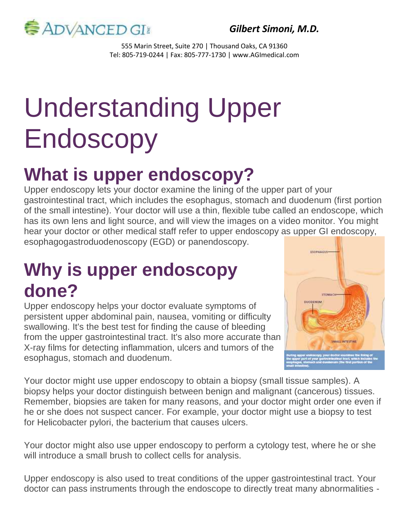

*Gilbert Simoni, M.D.*

555 Marin Street, Suite 270 | Thousand Oaks, CA 91360 Tel: 805-719-0244 | Fax: 805-777-1730 | www.AGImedical.com

# Understanding Upper Endoscopy

# **What is upper endoscopy?**

Upper endoscopy lets your doctor examine the lining of the upper part of your gastrointestinal tract, which includes the esophagus, stomach and duodenum (first portion of the small intestine). Your doctor will use a thin, flexible tube called an endoscope, which has its own lens and light source, and will view the images on a video monitor. You might hear your doctor or other medical staff refer to upper endoscopy as upper GI endoscopy, esophagogastroduodenoscopy (EGD) or panendoscopy.

#### **Why is upper endoscopy done?**

Upper endoscopy helps your doctor evaluate symptoms of persistent upper abdominal pain, nausea, vomiting or difficulty swallowing. It's the best test for finding the cause of bleeding from the upper gastrointestinal tract. It's also more accurate than X-ray films for detecting inflammation, ulcers and tumors of the esophagus, stomach and duodenum.



Your doctor might use upper endoscopy to obtain a biopsy (small tissue samples). A biopsy helps your doctor distinguish between benign and malignant (cancerous) tissues. Remember, biopsies are taken for many reasons, and your doctor might order one even if he or she does not suspect cancer. For example, your doctor might use a biopsy to test for Helicobacter pylori, the bacterium that causes ulcers.

Your doctor might also use upper endoscopy to perform a cytology test, where he or she will introduce a small brush to collect cells for analysis.

Upper endoscopy is also used to treat conditions of the upper gastrointestinal tract. Your doctor can pass instruments through the endoscope to directly treat many abnormalities -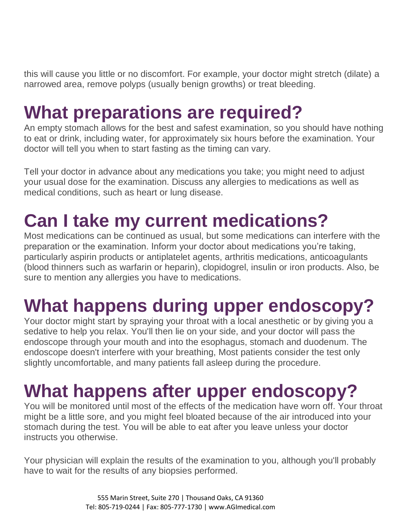this will cause you little or no discomfort. For example, your doctor might stretch (dilate) a narrowed area, remove polyps (usually benign growths) or treat bleeding.

### **What preparations are required?**

An empty stomach allows for the best and safest examination, so you should have nothing to eat or drink, including water, for approximately six hours before the examination. Your doctor will tell you when to start fasting as the timing can vary.

Tell your doctor in advance about any medications you take; you might need to adjust your usual dose for the examination. Discuss any allergies to medications as well as medical conditions, such as heart or lung disease.

## **Can I take my current medications?**

Most medications can be continued as usual, but some medications can interfere with the preparation or the examination. Inform your doctor about medications you're taking, particularly aspirin products or antiplatelet agents, arthritis medications, anticoagulants (blood thinners such as warfarin or heparin), clopidogrel, insulin or iron products. Also, be sure to mention any allergies you have to medications.

#### **What happens during upper endoscopy?**

Your doctor might start by spraying your throat with a local anesthetic or by giving you a sedative to help you relax. You'll then lie on your side, and your doctor will pass the endoscope through your mouth and into the esophagus, stomach and duodenum. The endoscope doesn't interfere with your breathing, Most patients consider the test only slightly uncomfortable, and many patients fall asleep during the procedure.

# **What happens after upper endoscopy?**

You will be monitored until most of the effects of the medication have worn off. Your throat might be a little sore, and you might feel bloated because of the air introduced into your stomach during the test. You will be able to eat after you leave unless your doctor instructs you otherwise.

Your physician will explain the results of the examination to you, although you'll probably have to wait for the results of any biopsies performed.